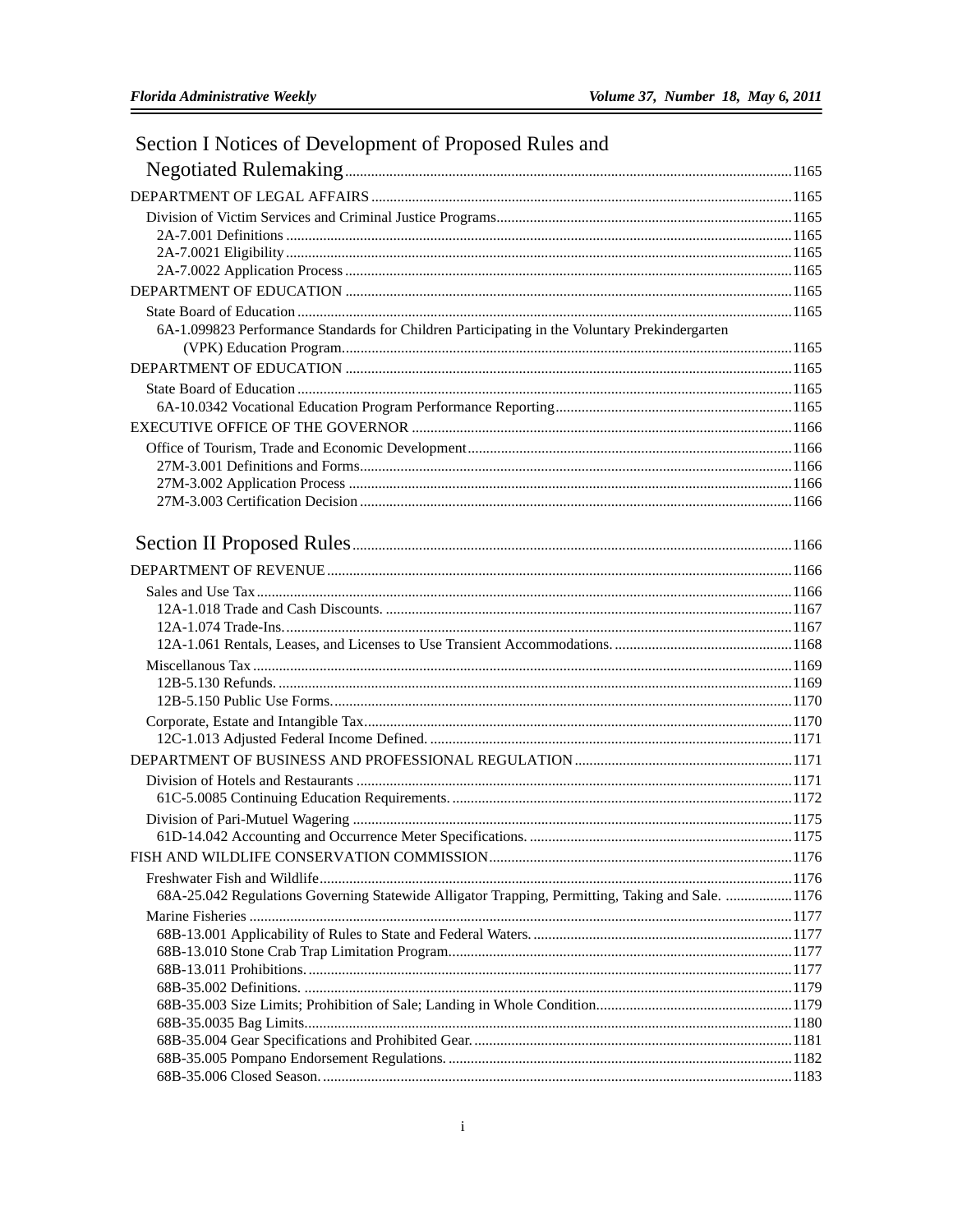Ė

| Section I Notices of Development of Proposed Rules and                                           |  |
|--------------------------------------------------------------------------------------------------|--|
|                                                                                                  |  |
|                                                                                                  |  |
|                                                                                                  |  |
|                                                                                                  |  |
|                                                                                                  |  |
|                                                                                                  |  |
|                                                                                                  |  |
|                                                                                                  |  |
| 6A-1.099823 Performance Standards for Children Participating in the Voluntary Prekindergarten    |  |
|                                                                                                  |  |
|                                                                                                  |  |
|                                                                                                  |  |
|                                                                                                  |  |
|                                                                                                  |  |
|                                                                                                  |  |
|                                                                                                  |  |
|                                                                                                  |  |
|                                                                                                  |  |
|                                                                                                  |  |
|                                                                                                  |  |
|                                                                                                  |  |
|                                                                                                  |  |
|                                                                                                  |  |
|                                                                                                  |  |
|                                                                                                  |  |
|                                                                                                  |  |
|                                                                                                  |  |
|                                                                                                  |  |
|                                                                                                  |  |
|                                                                                                  |  |
|                                                                                                  |  |
|                                                                                                  |  |
|                                                                                                  |  |
|                                                                                                  |  |
|                                                                                                  |  |
|                                                                                                  |  |
| 68A-25.042 Regulations Governing Statewide Alligator Trapping, Permitting, Taking and Sale. 1176 |  |
|                                                                                                  |  |
|                                                                                                  |  |
|                                                                                                  |  |
|                                                                                                  |  |
|                                                                                                  |  |
|                                                                                                  |  |
|                                                                                                  |  |
|                                                                                                  |  |
|                                                                                                  |  |
|                                                                                                  |  |

## $\,$  i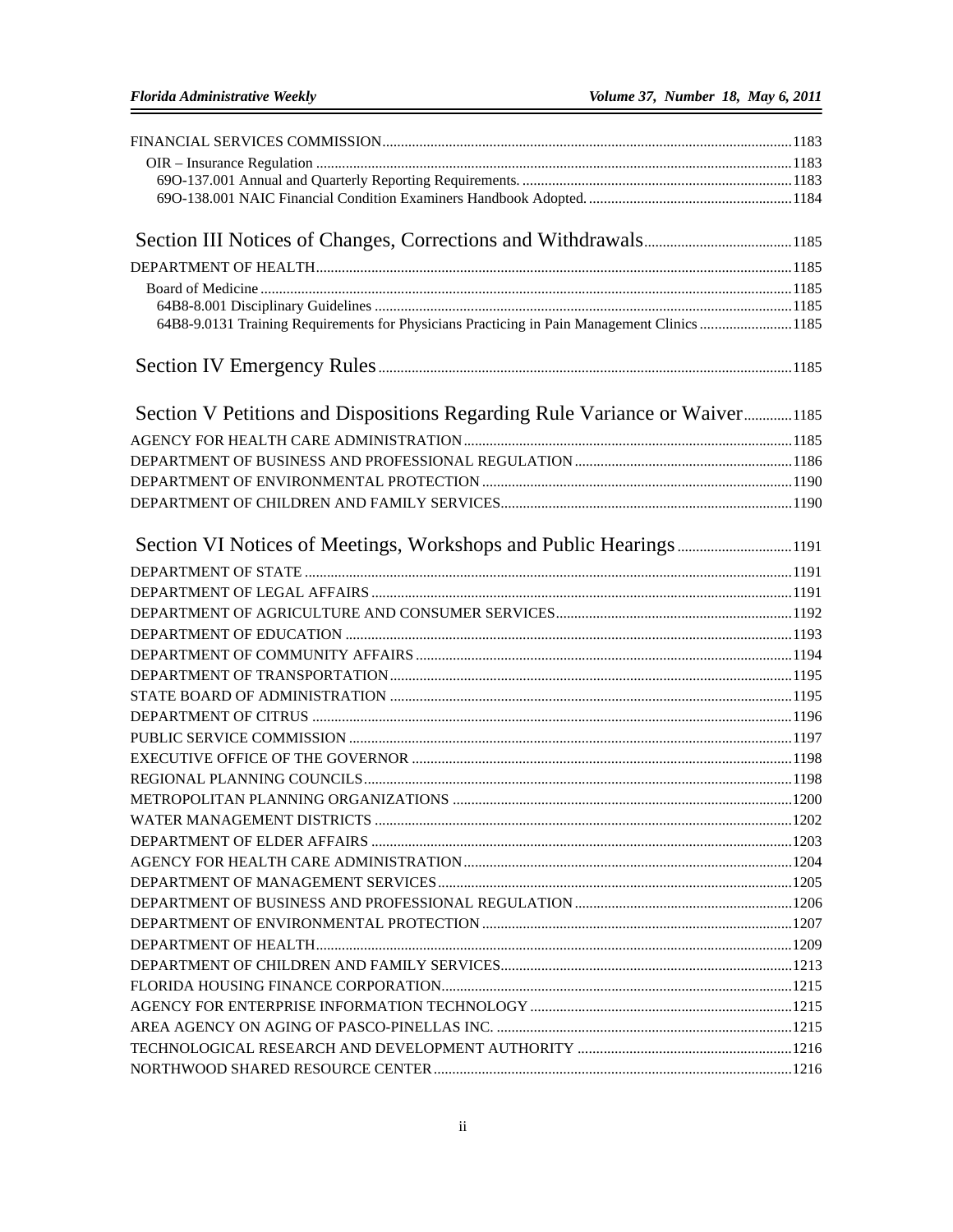| 64B8-9.0131 Training Requirements for Physicians Practicing in Pain Management Clinics 1185 |  |
|---------------------------------------------------------------------------------------------|--|
|                                                                                             |  |
| Section V Petitions and Dispositions Regarding Rule Variance or Waiver1185                  |  |
|                                                                                             |  |
|                                                                                             |  |
|                                                                                             |  |
|                                                                                             |  |
|                                                                                             |  |
| Section VI Notices of Meetings, Workshops and Public Hearings1191                           |  |
|                                                                                             |  |
|                                                                                             |  |
|                                                                                             |  |
|                                                                                             |  |
|                                                                                             |  |
|                                                                                             |  |
|                                                                                             |  |
|                                                                                             |  |
|                                                                                             |  |
|                                                                                             |  |
|                                                                                             |  |
|                                                                                             |  |
|                                                                                             |  |
|                                                                                             |  |
|                                                                                             |  |
|                                                                                             |  |
|                                                                                             |  |
|                                                                                             |  |
|                                                                                             |  |
|                                                                                             |  |
|                                                                                             |  |
|                                                                                             |  |
|                                                                                             |  |
|                                                                                             |  |
|                                                                                             |  |